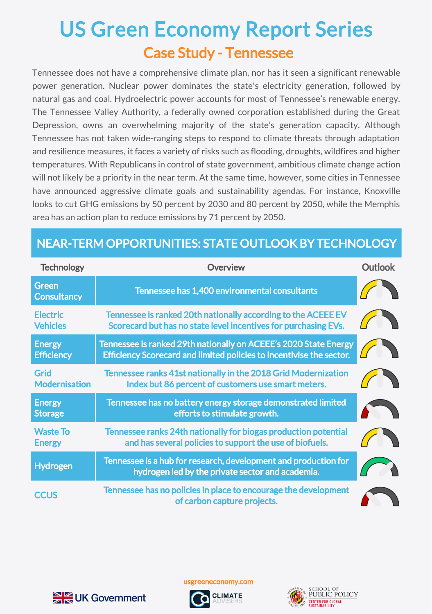## Case Study - Tennessee US Green Economy Report Series

Tennessee does not have a comprehensive climate plan, nor has it seen a significant renewable power generation. Nuclear power dominates the state's electricity generation, followed by natural gas and coal. Hydroelectric power accounts for most of Tennessee's renewable energy. The Tennessee Valley Authority, a federally owned corporation established during the Great Depression, owns an overwhelming majority of the state's generation capacity. Although Tennessee has not taken wide-ranging steps to respond to climate threats through adaptation and resilience measures, it faces a variety of risks such as flooding, droughts, wildfires and higher temperatures. With Republicans in control of state government, ambitious climate change action will not likely be a priority in the near term. At the same time, however, some cities in Tennessee have announced aggressive climate goals and sustainability agendas. For instance, Knoxville looks to cut GHG emissions by 50 percent by 2030 and 80 percent by 2050, while the Memphis area has an action plan to reduce emissions by 71 percent by 2050.

## NEAR-TERM OPPORTUNITIES: STATE OUTLOOK BY TECHNOLOGY

| <b>Technology</b>                   | Overview                                                                                                                                 | <b>Outlook</b> |
|-------------------------------------|------------------------------------------------------------------------------------------------------------------------------------------|----------------|
| Green<br><b>Consultancy</b>         | Tennessee has 1,400 environmental consultants                                                                                            |                |
| <b>Electric</b><br><b>Vehicles</b>  | Tennessee is ranked 20th nationally according to the ACEEE EV<br>Scorecard but has no state level incentives for purchasing EVs.         |                |
| <b>Energy</b><br><b>Efficiency</b>  | Tennessee is ranked 29th nationally on ACEEE's 2020 State Energy<br>Efficiency Scorecard and limited policies to incentivise the sector. |                |
| <b>Grid</b><br><b>Modernisation</b> | Tennessee ranks 41st nationally in the 2018 Grid Modernization<br>Index but 86 percent of customers use smart meters.                    |                |
| <b>Energy</b><br><b>Storage</b>     | Tennessee has no battery energy storage demonstrated limited<br>efforts to stimulate growth.                                             |                |
| <b>Waste To</b><br><b>Energy</b>    | Tennessee ranks 24th nationally for biogas production potential<br>and has several policies to support the use of biofuels.              |                |
| <b>Hydrogen</b>                     | Tennessee is a hub for research, development and production for<br>hydrogen led by the private sector and academia.                      |                |
| <b>CCUS</b>                         | Tennessee has no policies in place to encourage the development<br>of carbon capture projects.                                           |                |



usgreeneconomy.com